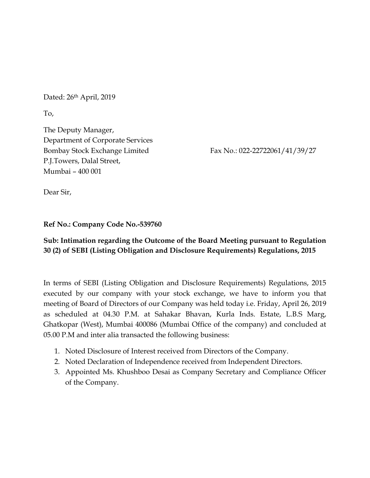Dated: 26<sup>th</sup> April, 2019

To,

The Deputy Manager, Department of Corporate Services Bombay Stock Exchange Limited Fax No.: 022-22722061/41/39/27 P.J.Towers, Dalal Street, Mumbai – 400 001

Dear Sir,

## **Ref No.: Company Code No.-539760**

## **Sub: Intimation regarding the Outcome of the Board Meeting pursuant to Regulation 30 (2) of SEBI (Listing Obligation and Disclosure Requirements) Regulations, 2015**

In terms of SEBI (Listing Obligation and Disclosure Requirements) Regulations, 2015 executed by our company with your stock exchange, we have to inform you that meeting of Board of Directors of our Company was held today i.e. Friday, April 26, 2019 as scheduled at 04.30 P.M. at Sahakar Bhavan, Kurla Inds. Estate, L.B.S Marg, Ghatkopar (West), Mumbai 400086 (Mumbai Office of the company) and concluded at 05.00 P.M and inter alia transacted the following business:

- 1. Noted Disclosure of Interest received from Directors of the Company.
- 2. Noted Declaration of Independence received from Independent Directors.
- 3. Appointed Ms. Khushboo Desai as Company Secretary and Compliance Officer of the Company.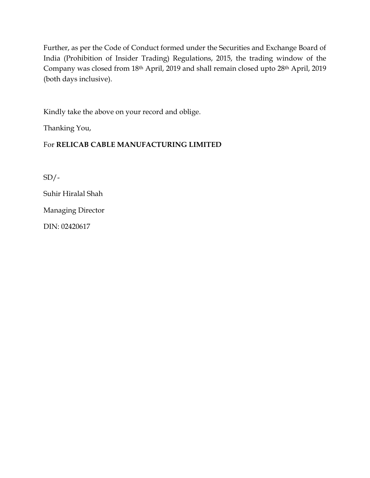Further, as per the Code of Conduct formed under the Securities and Exchange Board of India (Prohibition of Insider Trading) Regulations, 2015, the trading window of the Company was closed from 18th April, 2019 and shall remain closed upto 28th April, 2019 (both days inclusive).

Kindly take the above on your record and oblige.

Thanking You,

## For **RELICAB CABLE MANUFACTURING LIMITED**

 $SD/-$ 

Suhir Hiralal Shah

Managing Director

DIN: 02420617